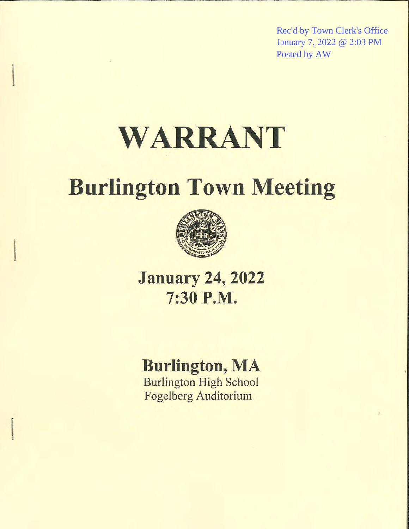Rec'd by Town Clerk's Office January 7, 2022 @ 2:03 PM Posted by AW

# WARRANT

## **Burlington Town Meeting**



**January 24, 2022** 7:30 P.M.

## **Burlington, MA**

**Burlington High School Fogelberg Auditorium**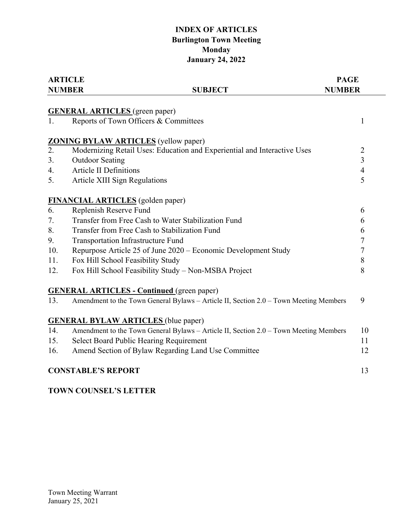## **INDEX OF ARTICLES Burlington Town Meeting Monday January 24, 2022**

|     | <b>ARTICLE</b>                                                                        | <b>PAGE</b>      |  |
|-----|---------------------------------------------------------------------------------------|------------------|--|
|     | <b>NUMBER</b><br><b>SUBJECT</b>                                                       | <b>NUMBER</b>    |  |
|     | <b>GENERAL ARTICLES</b> (green paper)                                                 |                  |  |
| 1.  | Reports of Town Officers & Committees                                                 | 1                |  |
|     | <b>ZONING BYLAW ARTICLES</b> (yellow paper)                                           |                  |  |
| 2.  | Modernizing Retail Uses: Education and Experiential and Interactive Uses              | $\overline{2}$   |  |
| 3.  | <b>Outdoor Seating</b>                                                                | $\overline{3}$   |  |
| 4.  | <b>Article II Definitions</b>                                                         | $\overline{4}$   |  |
| 5.  | Article XIII Sign Regulations                                                         | 5                |  |
|     | <b>FINANCIAL ARTICLES</b> (golden paper)                                              |                  |  |
| 6.  | Replenish Reserve Fund                                                                | 6                |  |
| 7.  | Transfer from Free Cash to Water Stabilization Fund                                   | 6                |  |
| 8.  | Transfer from Free Cash to Stabilization Fund                                         | 6                |  |
| 9.  | <b>Transportation Infrastructure Fund</b>                                             | $\boldsymbol{7}$ |  |
| 10. | Repurpose Article 25 of June 2020 – Economic Development Study                        | $\overline{7}$   |  |
| 11. | Fox Hill School Feasibility Study                                                     | 8                |  |
| 12. | Fox Hill School Feasibility Study - Non-MSBA Project                                  | 8                |  |
|     | <b>GENERAL ARTICLES - Continued (green paper)</b>                                     |                  |  |
| 13. | Amendment to the Town General Bylaws - Article II, Section 2.0 - Town Meeting Members | 9                |  |
|     | <b>GENERAL BYLAW ARTICLES</b> (blue paper)                                            |                  |  |
| 14. | Amendment to the Town General Bylaws - Article II, Section 2.0 - Town Meeting Members | 10               |  |
| 15. | Select Board Public Hearing Requirement                                               | 11               |  |
| 16. | Amend Section of Bylaw Regarding Land Use Committee                                   | 12               |  |
|     | <b>CONSTABLE'S REPORT</b>                                                             | 13               |  |

## **TOWN COUNSEL'S LETTER**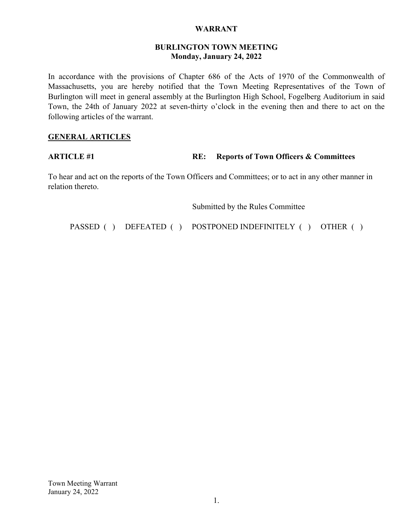#### **WARRANT**

#### **BURLINGTON TOWN MEETING Monday, January 24, 2022**

In accordance with the provisions of Chapter 686 of the Acts of 1970 of the Commonwealth of Massachusetts, you are hereby notified that the Town Meeting Representatives of the Town of Burlington will meet in general assembly at the Burlington High School, Fogelberg Auditorium in said Town, the 24th of January 2022 at seven-thirty o'clock in the evening then and there to act on the following articles of the warrant.

#### **GENERAL ARTICLES**

#### **ARTICLE #1** RE: Reports of Town Officers & Committees

To hear and act on the reports of the Town Officers and Committees; or to act in any other manner in relation thereto.

Submitted by the Rules Committee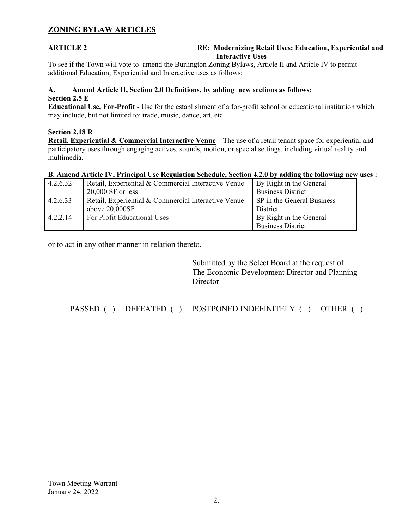### **ZONING BYLAW ARTICLES**

#### **ARTICLE 2 RE: Modernizing Retail Uses: Education, Experiential and Interactive Uses**

To see if the Town will vote to amend the Burlington Zoning Bylaws, Article II and Article IV to permit additional Education, Experiential and Interactive uses as follows:

#### **A. Amend Article II, Section 2.0 Definitions, by adding new sections as follows: Section 2.5 E**

**Educational Use, For-Profit** - Use for the establishment of a for-profit school or educational institution which may include, but not limited to: trade, music, dance, art, etc.

#### **Section 2.18 R**

**Retail, Experiential & Commercial Interactive Venue** – The use of a retail tenant space for experiential and participatory uses through engaging actives, sounds, motion, or special settings, including virtual reality and multimedia.

#### **B. Amend Article IV, Principal Use Regulation Schedule, Section 4.2.0 by adding the following new uses :**

| 4.2.6.32 | Retail, Experiential & Commercial Interactive Venue | By Right in the General    |
|----------|-----------------------------------------------------|----------------------------|
|          | $20,000$ SF or less                                 | <b>Business District</b>   |
| 4.2.6.33 | Retail, Experiential & Commercial Interactive Venue | SP in the General Business |
|          | above 20,000SF                                      | District                   |
| 4.2.2.14 | For Profit Educational Uses                         | By Right in the General    |
|          |                                                     | <b>Business District</b>   |

or to act in any other manner in relation thereto.

 Submitted by the Select Board at the request of The Economic Development Director and Planning **Director**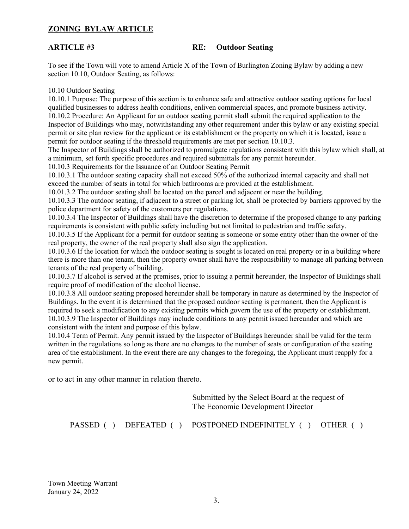#### **ZONING BYLAW ARTICLE**

#### **ARTICLE #3** RE: Outdoor Seating

To see if the Town will vote to amend Article X of the Town of Burlington Zoning Bylaw by adding a new section 10.10, Outdoor Seating, as follows:

#### 10.10 Outdoor Seating

10.10.1 Purpose: The purpose of this section is to enhance safe and attractive outdoor seating options for local qualified businesses to address health conditions, enliven commercial spaces, and promote business activity. 10.10.2 Procedure: An Applicant for an outdoor seating permit shall submit the required application to the Inspector of Buildings who may, notwithstanding any other requirement under this bylaw or any existing special permit or site plan review for the applicant or its establishment or the property on which it is located, issue a permit for outdoor seating if the threshold requirements are met per section 10.10.3.

The Inspector of Buildings shall be authorized to promulgate regulations consistent with this bylaw which shall, at a minimum, set forth specific procedures and required submittals for any permit hereunder.

10.10.3 Requirements for the Issuance of an Outdoor Seating Permit

10.10.3.1 The outdoor seating capacity shall not exceed 50% of the authorized internal capacity and shall not exceed the number of seats in total for which bathrooms are provided at the establishment.

10.01.3.2 The outdoor seating shall be located on the parcel and adjacent or near the building.

10.10.3.3 The outdoor seating, if adjacent to a street or parking lot, shall be protected by barriers approved by the police department for safety of the customers per regulations.

10.10.3.4 The Inspector of Buildings shall have the discretion to determine if the proposed change to any parking requirements is consistent with public safety including but not limited to pedestrian and traffic safety.

10.10.3.5 If the Applicant for a permit for outdoor seating is someone or some entity other than the owner of the real property, the owner of the real property shall also sign the application.

10.10.3.6 If the location for which the outdoor seating is sought is located on real property or in a building where there is more than one tenant, then the property owner shall have the responsibility to manage all parking between tenants of the real property of building.

10.10.3.7 If alcohol is served at the premises, prior to issuing a permit hereunder, the Inspector of Buildings shall require proof of modification of the alcohol license.

10.10.3.8 All outdoor seating proposed hereunder shall be temporary in nature as determined by the Inspector of Buildings. In the event it is determined that the proposed outdoor seating is permanent, then the Applicant is required to seek a modification to any existing permits which govern the use of the property or establishment. 10.10.3.9 The Inspector of Buildings may include conditions to any permit issued hereunder and which are consistent with the intent and purpose of this bylaw.

10.10.4 Term of Permit. Any permit issued by the Inspector of Buildings hereunder shall be valid for the term written in the regulations so long as there are no changes to the number of seats or configuration of the seating area of the establishment. In the event there are any changes to the foregoing, the Applicant must reapply for a new permit.

or to act in any other manner in relation thereto.

 Submitted by the Select Board at the request of The Economic Development Director

PASSED ( ) DEFEATED ( ) POSTPONED INDEFINITELY ( ) OTHER ( )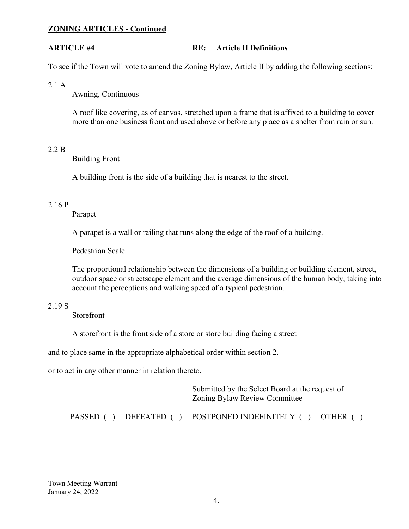#### **ZONING ARTICLES - Continued**

#### **ARTICLE #4 RE: Article II Definitions**

To see if the Town will vote to amend the Zoning Bylaw, Article II by adding the following sections:

2.1 A

Awning, Continuous

A roof like covering, as of canvas, stretched upon a frame that is affixed to a building to cover more than one business front and used above or before any place as a shelter from rain or sun.

#### 2.2 B

Building Front

A building front is the side of a building that is nearest to the street.

#### 2.16 P

Parapet

A parapet is a wall or railing that runs along the edge of the roof of a building.

Pedestrian Scale

The proportional relationship between the dimensions of a building or building element, street, outdoor space or streetscape element and the average dimensions of the human body, taking into account the perceptions and walking speed of a typical pedestrian.

#### 2.19 S

Storefront

A storefront is the front side of a store or store building facing a street

and to place same in the appropriate alphabetical order within section 2.

or to act in any other manner in relation thereto.

 Submitted by the Select Board at the request of Zoning Bylaw Review Committee PASSED ( ) DEFEATED ( ) POSTPONED INDEFINITELY ( ) OTHER ( )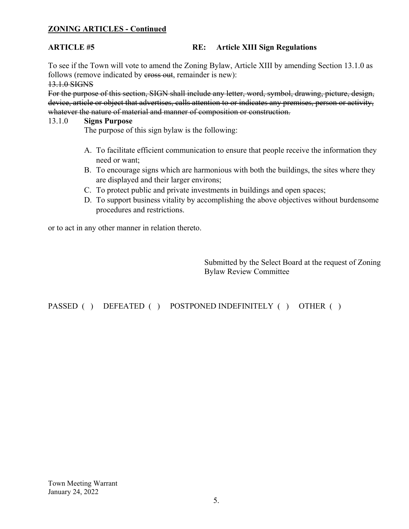### **ZONING ARTICLES - Continued**

#### **ARTICLE #5 RE: Article XIII Sign Regulations**

To see if the Town will vote to amend the Zoning Bylaw, Article XIII by amending Section 13.1.0 as follows (remove indicated by eross out, remainder is new): 13.1.0 SIGNS

For the purpose of this section, SIGN shall include any letter, word, symbol, drawing, picture, design, device, article or object that advertises, calls attention to or indicates any premises, person or activity, whatever the nature of material and manner of composition or construction.

## 13.1.0 **Signs Purpose**<br>The purpose of this sign bylaw is the following:

- A. To facilitate efficient communication to ensure that people receive the information they need or want;
- B. To encourage signs which are harmonious with both the buildings, the sites where they are displayed and their larger environs;
- C. To protect public and private investments in buildings and open spaces;
- D. To support business vitality by accomplishing the above objectives without burdensome procedures and restrictions.

or to act in any other manner in relation thereto.

Submitted by the Select Board at the request of Zoning Bylaw Review Committee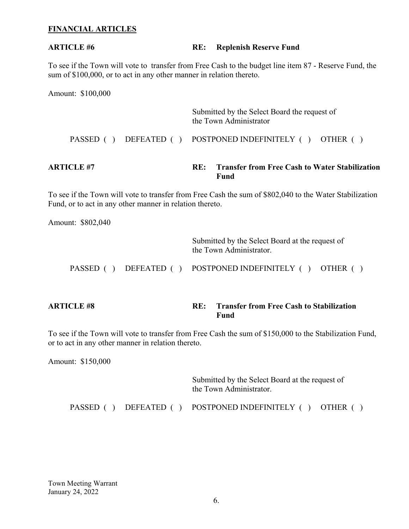#### **FINANCIAL ARTICLES**

#### **ARTICLE #6** RE: Replenish Reserve Fund

To see if the Town will vote to transfer from Free Cash to the budget line item 87 - Reserve Fund, the sum of \$100,000, or to act in any other manner in relation thereto.

Amount: \$100,000

| ARTICLE #7 |  | RE: | <b>Transfer from Free Cash to Water Stabilization</b><br>Fund          |
|------------|--|-----|------------------------------------------------------------------------|
|            |  |     | PASSED () DEFEATED () POSTPONED INDEFINITELY () OTHER ()               |
|            |  |     | Submitted by the Select Board the request of<br>the Town Administrator |

To see if the Town will vote to transfer from Free Cash the sum of \$802,040 to the Water Stabilization Fund, or to act in any other manner in relation thereto.

Amount: \$802,040

 Submitted by the Select Board at the request of the Town Administrator.

PASSED ( ) DEFEATED ( ) POSTPONED INDEFINITELY ( ) OTHER ( )

**ARTICLE #8 RE: Transfer from Free Cash to Stabilization**  *<u>Fund</u>* 

To see if the Town will vote to transfer from Free Cash the sum of \$150,000 to the Stabilization Fund, or to act in any other manner in relation thereto.

Amount: \$150,000

 Submitted by the Select Board at the request of the Town Administrator.

PASSED ( ) DEFEATED ( ) POSTPONED INDEFINITELY ( ) OTHER ( )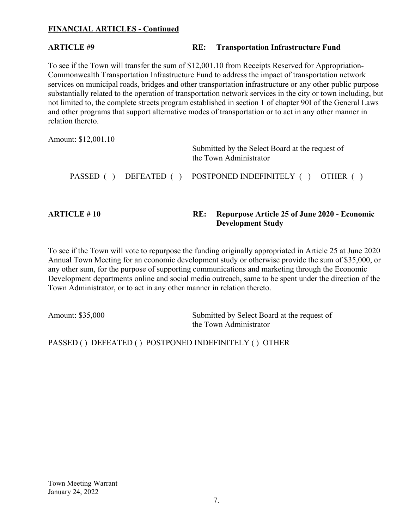### **FINANCIAL ARTICLES - Continued**

#### **ARTICLE #9 RE: Transportation Infrastructure Fund**

To see if the Town will transfer the sum of \$12,001.10 from Receipts Reserved for Appropriation-Commonwealth Transportation Infrastructure Fund to address the impact of transportation network services on municipal roads, bridges and other transportation infrastructure or any other public purpose substantially related to the operation of transportation network services in the city or town including, but not limited to, the complete streets program established in section 1 of chapter 90I of the General Laws and other programs that support alternative modes of transportation or to act in any other manner in relation thereto.

Amount: \$12,001.10 Submitted by the Select Board at the request of the Town Administrator PASSED ( ) DEFEATED ( ) POSTPONED INDEFINITELY ( ) OTHER ( )

#### **ARTICLE # 10 RE: Repurpose Article 25 of June 2020 - Economic Development Study**

To see if the Town will vote to repurpose the funding originally appropriated in Article 25 at June 2020 Annual Town Meeting for an economic development study or otherwise provide the sum of \$35,000, or any other sum, for the purpose of supporting communications and marketing through the Economic Development departments online and social media outreach, same to be spent under the direction of the Town Administrator, or to act in any other manner in relation thereto.

Amount: \$35,000 Submitted by Select Board at the request of the Town Administrator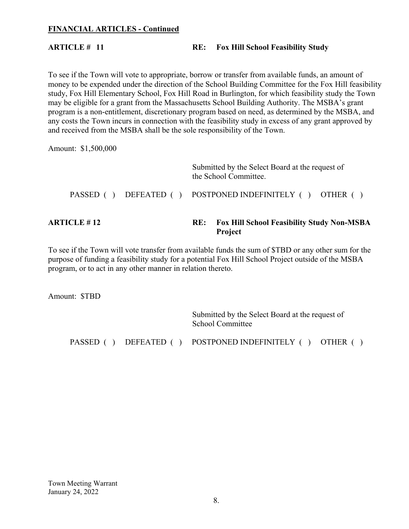#### **FINANCIAL ARTICLES - Continued**

## **ARTICLE # 11** RE: Fox Hill School Feasibility Study

To see if the Town will vote to appropriate, borrow or transfer from available funds, an amount of money to be expended under the direction of the School Building Committee for the Fox Hill feasibility study, Fox Hill Elementary School, Fox Hill Road in Burlington, for which feasibility study the Town may be eligible for a grant from the Massachusetts School Building Authority. The MSBA's grant program is a non-entitlement, discretionary program based on need, as determined by the MSBA, and any costs the Town incurs in connection with the feasibility study in excess of any grant approved by and received from the MSBA shall be the sole responsibility of the Town.

Amount: \$1,500,000

| <b>ARTICLE # 12</b> |  |  | <b>Fox Hill School Feasibility Study Non-MSBA</b><br><b>Project</b>      |
|---------------------|--|--|--------------------------------------------------------------------------|
|                     |  |  | PASSED () DEFEATED () POSTPONED INDEFINITELY () OTHER ()                 |
|                     |  |  | Submitted by the Select Board at the request of<br>the School Committee. |

To see if the Town will vote transfer from available funds the sum of \$TBD or any other sum for the purpose of funding a feasibility study for a potential Fox Hill School Project outside of the MSBA program, or to act in any other manner in relation thereto.

Amount: \$TBD

 Submitted by the Select Board at the request of School Committee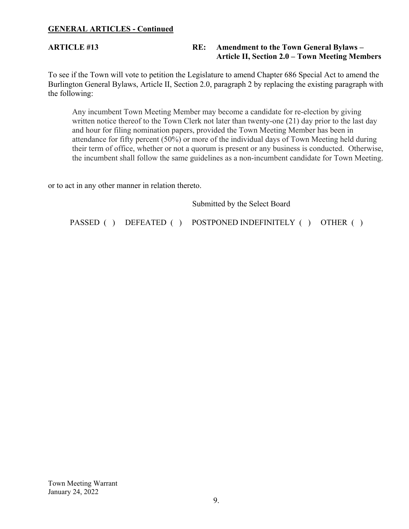#### **GENERAL ARTICLES - Continued**

### **ARTICLE #13 RE: Amendment to the Town General Bylaws – Article II, Section 2.0 – Town Meeting Members**

To see if the Town will vote to petition the Legislature to amend Chapter 686 Special Act to amend the Burlington General Bylaws, Article II, Section 2.0, paragraph 2 by replacing the existing paragraph with the following:

Any incumbent Town Meeting Member may become a candidate for re-election by giving written notice thereof to the Town Clerk not later than twenty-one (21) day prior to the last day and hour for filing nomination papers, provided the Town Meeting Member has been in attendance for fifty percent (50%) or more of the individual days of Town Meeting held during their term of office, whether or not a quorum is present or any business is conducted. Otherwise, the incumbent shall follow the same guidelines as a non-incumbent candidate for Town Meeting.

or to act in any other manner in relation thereto.

|  | Submitted by the Select Board                            |  |  |
|--|----------------------------------------------------------|--|--|
|  | PASSED () DEFEATED () POSTPONED INDEFINITELY () OTHER () |  |  |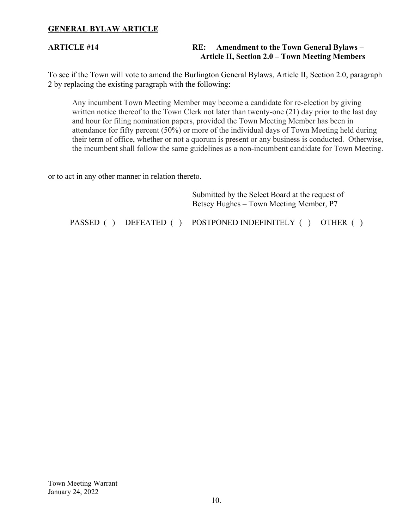#### **GENERAL BYLAW ARTICLE**

#### **ARTICLE #14 RE: Amendment to the Town General Bylaws – Article II, Section 2.0 – Town Meeting Members**

To see if the Town will vote to amend the Burlington General Bylaws, Article II, Section 2.0, paragraph 2 by replacing the existing paragraph with the following:

Any incumbent Town Meeting Member may become a candidate for re-election by giving written notice thereof to the Town Clerk not later than twenty-one (21) day prior to the last day and hour for filing nomination papers, provided the Town Meeting Member has been in attendance for fifty percent (50%) or more of the individual days of Town Meeting held during their term of office, whether or not a quorum is present or any business is conducted. Otherwise, the incumbent shall follow the same guidelines as a non-incumbent candidate for Town Meeting.

or to act in any other manner in relation thereto.

|           |            | Submitted by the Select Board at the request of<br>Betsey Hughes – Town Meeting Member, P7 |  |  |
|-----------|------------|--------------------------------------------------------------------------------------------|--|--|
| PASSED () | DEFEATED ( | POSTPONED INDEFINITELY () OTHER (                                                          |  |  |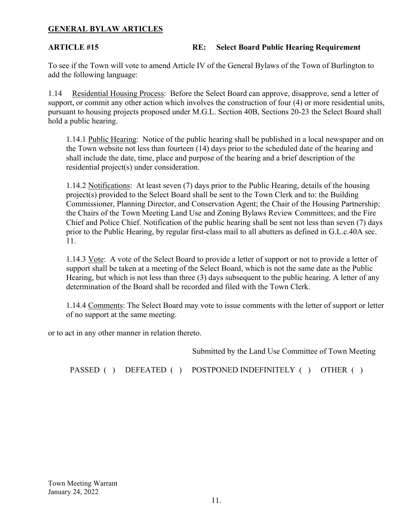#### **GENERAL BYLAW ARTICLES**

### **ARTICLE #15 RE: Select Board Public Hearing Requirement**

To see if the Town will vote to amend Article IV of the General Bylaws of the Town of Burlington to add the following language:

1.14 Residential Housing Process: Before the Select Board can approve, disapprove, send a letter of support, or commit any other action which involves the construction of four (4) or more residential units, pursuant to housing projects proposed under M.G.L. Section 40B, Sections 20-23 the Select Board shall hold a public hearing.

1.14.1 Public Hearing: Notice of the public hearing shall be published in a local newspaper and on the Town website not less than fourteen (14) days prior to the scheduled date of the hearing and shall include the date, time, place and purpose of the hearing and a brief description of the residential project(s) under consideration.

1.14.2 Notifications: At least seven (7) days prior to the Public Hearing, details of the housing project(s) provided to the Select Board shall be sent to the Town Clerk and to: the Building Commissioner, Planning Director, and Conservation Agent; the Chair of the Housing Partnership; the Chairs of the Town Meeting Land Use and Zoning Bylaws Review Committees; and the Fire Chief and Police Chief. Notification of the public hearing shall be sent not less than seven (7) days prior to the Public Hearing, by regular first-class mail to all abutters as defined in G.L.c.40A sec. 11.

1.14.3 Vote: A vote of the Select Board to provide a letter of support or not to provide a letter of support shall be taken at a meeting of the Select Board, which is not the same date as the Public Hearing, but which is not less than three (3) days subsequent to the public hearing. A letter of any determination of the Board shall be recorded and filed with the Town Clerk.

1.14.4 Comments: The Select Board may vote to issue comments with the letter of support or letter of no support at the same meeting.

or to act in any other manner in relation thereto.

Submitted by the Land Use Committee of Town Meeting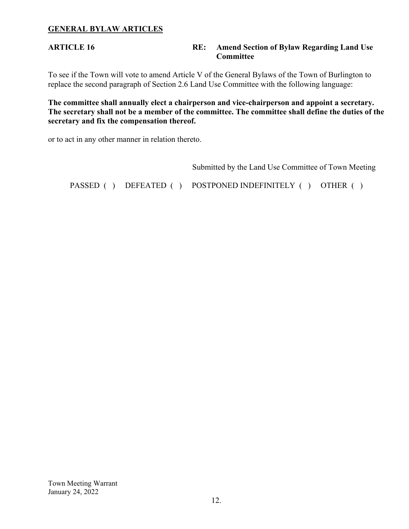### **GENERAL BYLAW ARTICLES**

#### **ARTICLE 16 RE: Amend Section of Bylaw Regarding Land Use Committee**

To see if the Town will vote to amend Article V of the General Bylaws of the Town of Burlington to replace the second paragraph of Section 2.6 Land Use Committee with the following language:

**The committee shall annually elect a chairperson and vice-chairperson and appoint a secretary. The secretary shall not be a member of the committee. The committee shall define the duties of the secretary and fix the compensation thereof.** 

or to act in any other manner in relation thereto.

Submitted by the Land Use Committee of Town Meeting